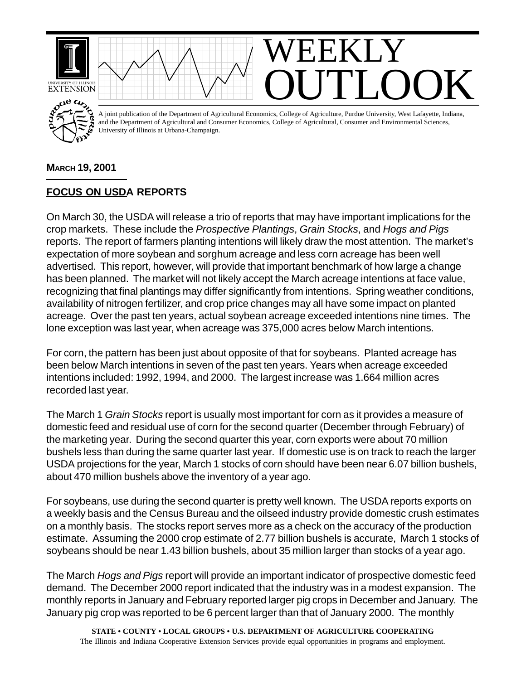

## **MARCH 19, 2001**

## **FOCUS ON USDA REPORTS**

On March 30, the USDA will release a trio of reports that may have important implications for the crop markets. These include the *Prospective Plantings*, *Grain Stocks*, and *Hogs and Pigs* reports. The report of farmers planting intentions will likely draw the most attention. The market's expectation of more soybean and sorghum acreage and less corn acreage has been well advertised. This report, however, will provide that important benchmark of how large a change has been planned. The market will not likely accept the March acreage intentions at face value, recognizing that final plantings may differ significantly from intentions. Spring weather conditions, availability of nitrogen fertilizer, and crop price changes may all have some impact on planted acreage. Over the past ten years, actual soybean acreage exceeded intentions nine times. The lone exception was last year, when acreage was 375,000 acres below March intentions.

For corn, the pattern has been just about opposite of that for soybeans. Planted acreage has been below March intentions in seven of the past ten years. Years when acreage exceeded intentions included: 1992, 1994, and 2000. The largest increase was 1.664 million acres recorded last year.

The March 1 *Grain Stocks* report is usually most important for corn as it provides a measure of domestic feed and residual use of corn for the second quarter (December through February) of the marketing year. During the second quarter this year, corn exports were about 70 million bushels less than during the same quarter last year. If domestic use is on track to reach the larger USDA projections for the year, March 1 stocks of corn should have been near 6.07 billion bushels, about 470 million bushels above the inventory of a year ago.

For soybeans, use during the second quarter is pretty well known. The USDA reports exports on a weekly basis and the Census Bureau and the oilseed industry provide domestic crush estimates on a monthly basis. The stocks report serves more as a check on the accuracy of the production estimate. Assuming the 2000 crop estimate of 2.77 billion bushels is accurate, March 1 stocks of soybeans should be near 1.43 billion bushels, about 35 million larger than stocks of a year ago.

The March *Hogs and Pigs* report will provide an important indicator of prospective domestic feed demand. The December 2000 report indicated that the industry was in a modest expansion. The monthly reports in January and February reported larger pig crops in December and January. The January pig crop was reported to be 6 percent larger than that of January 2000. The monthly